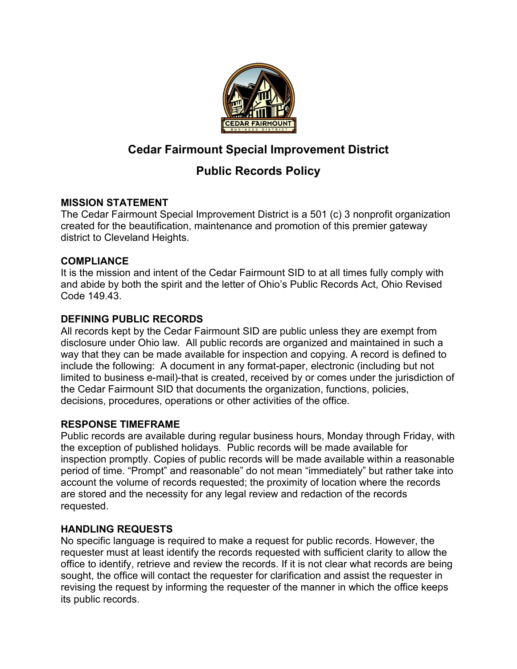

# **Cedar Fairmount Special Improvement District**

# **Public Records Policy**

# **MISSION STATEMENT**

The Cedar Fairmount Special Improvement District is a 501 (c) 3 nonprofit organization created for the beautification, maintenance and promotion of this premier gateway district to Cleveland Heights.

# **COMPLIANCE**

It is the mission and intent of the Cedar Fairmount SID to at all times fully comply with and abide by both the spirit and the letter of Ohio's Public Records Act, Ohio Revised Code 149.43.

# **DEFINING PUBLIC RECORDS**

All records kept by the Cedar Fairmount SID are public unless they are exempt from disclosure under Ohio law. All public records are organized and maintained in such a way that they can be made available for inspection and copying. A record is defined to include the following: A document in any format-paper, electronic (including but not limited to business e-mail)-that is created, received by or comes under the jurisdiction of the Cedar Fairmount SID that documents the organization, functions, policies, decisions, procedures, operations or other activities of the office.

## **RESPONSE TIMEFRAME**

Public records are available during regular business hours, Monday through Friday, with the exception of published holidays. Public records will be made available for inspection promptly. Copies of public records will be made available within a reasonable period of time. "Prompt" and reasonable" do not mean "immediately" but rather take into account the volume of records requested; the proximity of location where the records are stored and the necessity for any legal review and redaction of the records requested.

# **HANDLING REQUESTS**

No specific language is required to make a request for public records. However, the requester must at least identify the records requested with sufficient clarity to allow the office to identify, retrieve and review the records. If it is not clear what records are being sought, the office will contact the requester for clarification and assist the requester in revising the request by informing the requester of the manner in which the office keeps its public records.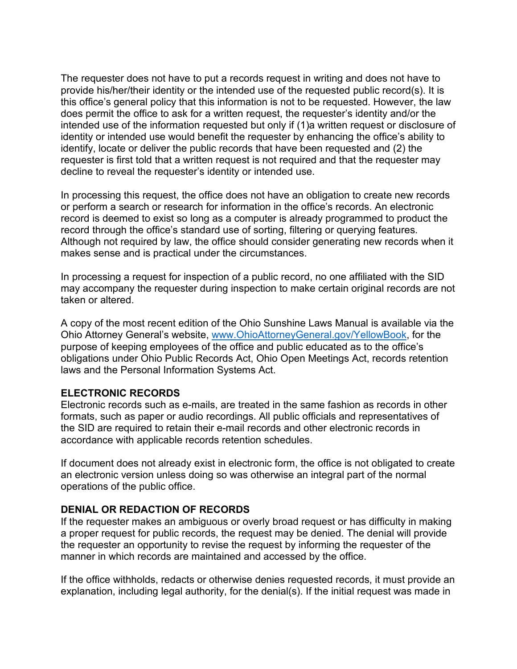The requester does not have to put a records request in writing and does not have to provide his/her/their identity or the intended use of the requested public record(s). It is this office's general policy that this information is not to be requested. However, the law does permit the office to ask for a written request, the requester's identity and/or the intended use of the information requested but only if (1)a written request or disclosure of identity or intended use would benefit the requester by enhancing the office's ability to identify, locate or deliver the public records that have been requested and (2) the requester is first told that a written request is not required and that the requester may decline to reveal the requester's identity or intended use.

In processing this request, the office does not have an obligation to create new records or perform a search or research for information in the office's records. An electronic record is deemed to exist so long as a computer is already programmed to product the record through the office's standard use of sorting, filtering or querying features. Although not required by law, the office should consider generating new records when it makes sense and is practical under the circumstances.

In processing a request for inspection of a public record, no one affiliated with the SID may accompany the requester during inspection to make certain original records are not taken or altered.

A copy of the most recent edition of the Ohio Sunshine Laws Manual is available via the Ohio Attorney General's website, [www.OhioAttorneyGeneral.gov/YellowBook,](http://www.ohioattorneygeneral.gov/YellowBook) for the purpose of keeping employees of the office and public educated as to the office's obligations under Ohio Public Records Act, Ohio Open Meetings Act, records retention laws and the Personal Information Systems Act.

### **ELECTRONIC RECORDS**

Electronic records such as e-mails, are treated in the same fashion as records in other formats, such as paper or audio recordings. All public officials and representatives of the SID are required to retain their e-mail records and other electronic records in accordance with applicable records retention schedules.

If document does not already exist in electronic form, the office is not obligated to create an electronic version unless doing so was otherwise an integral part of the normal operations of the public office.

### **DENIAL OR REDACTION OF RECORDS**

If the requester makes an ambiguous or overly broad request or has difficulty in making a proper request for public records, the request may be denied. The denial will provide the requester an opportunity to revise the request by informing the requester of the manner in which records are maintained and accessed by the office.

If the office withholds, redacts or otherwise denies requested records, it must provide an explanation, including legal authority, for the denial(s). If the initial request was made in